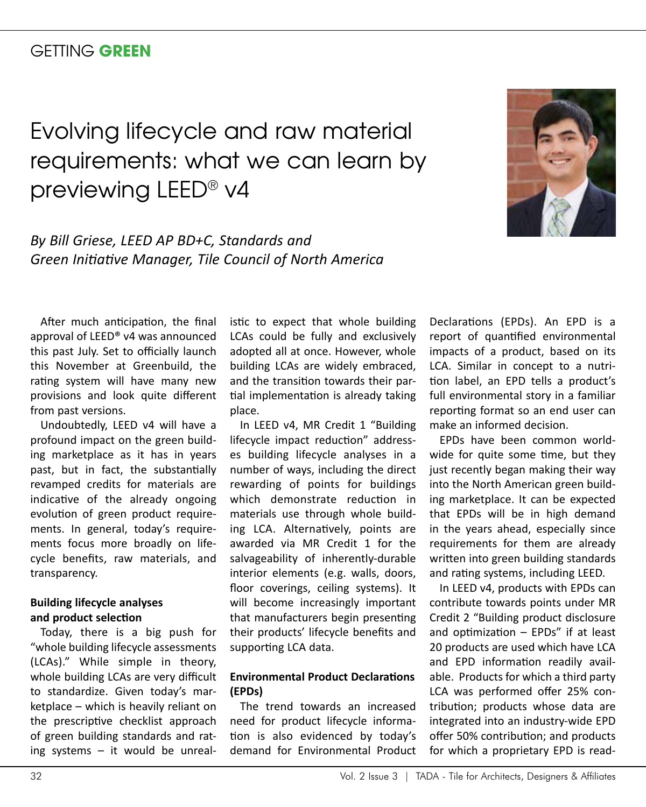# GETTING **GREEN**

# Evolving lifecycle and raw material requirements: what we can learn by previewing LEED® v4



*By Bill Griese, LEED AP BD+C, Standards and Green Initiative Manager, Tile Council of North America*

After much anticipation, the final approval of LEED® v4 was announced this past July. Set to officially launch this November at Greenbuild, the rating system will have many new provisions and look quite different from past versions.

Undoubtedly, LEED v4 will have a profound impact on the green building marketplace as it has in years past, but in fact, the substantially revamped credits for materials are indicative of the already ongoing evolution of green product requirements. In general, today's requirements focus more broadly on lifecycle benefits, raw materials, and transparency.

### **Building lifecycle analyses and product selection**

Today, there is a big push for "whole building lifecycle assessments (LCAs)." While simple in theory, whole building LCAs are very difficult to standardize. Given today's marketplace – which is heavily reliant on the prescriptive checklist approach of green building standards and rating systems – it would be unrealistic to expect that whole building LCAs could be fully and exclusively adopted all at once. However, whole building LCAs are widely embraced, and the transition towards their partial implementation is already taking place.

In LEED v4, MR Credit 1 "Building lifecycle impact reduction" addresses building lifecycle analyses in a number of ways, including the direct rewarding of points for buildings which demonstrate reduction in materials use through whole building LCA. Alternatively, points are awarded via MR Credit 1 for the salvageability of inherently-durable interior elements (e.g. walls, doors, floor coverings, ceiling systems). It will become increasingly important that manufacturers begin presenting their products' lifecycle benefits and supporting LCA data.

# **Environmental Product Declarations (EPDs)**

The trend towards an increased need for product lifecycle information is also evidenced by today's demand for Environmental Product

Declarations (EPDs). An EPD is a report of quantified environmental impacts of a product, based on its LCA. Similar in concept to a nutrition label, an EPD tells a product's full environmental story in a familiar reporting format so an end user can make an informed decision.

EPDs have been common worldwide for quite some time, but they just recently began making their way into the North American green building marketplace. It can be expected that EPDs will be in high demand in the years ahead, especially since requirements for them are already written into green building standards and rating systems, including LEED.

In LEED v4, products with EPDs can contribute towards points under MR Credit 2 "Building product disclosure and optimization  $-$  EPDs" if at least 20 products are used which have LCA and EPD information readily available. Products for which a third party LCA was performed offer 25% contribution; products whose data are integrated into an industry-wide EPD offer 50% contribution; and products for which a proprietary EPD is read-